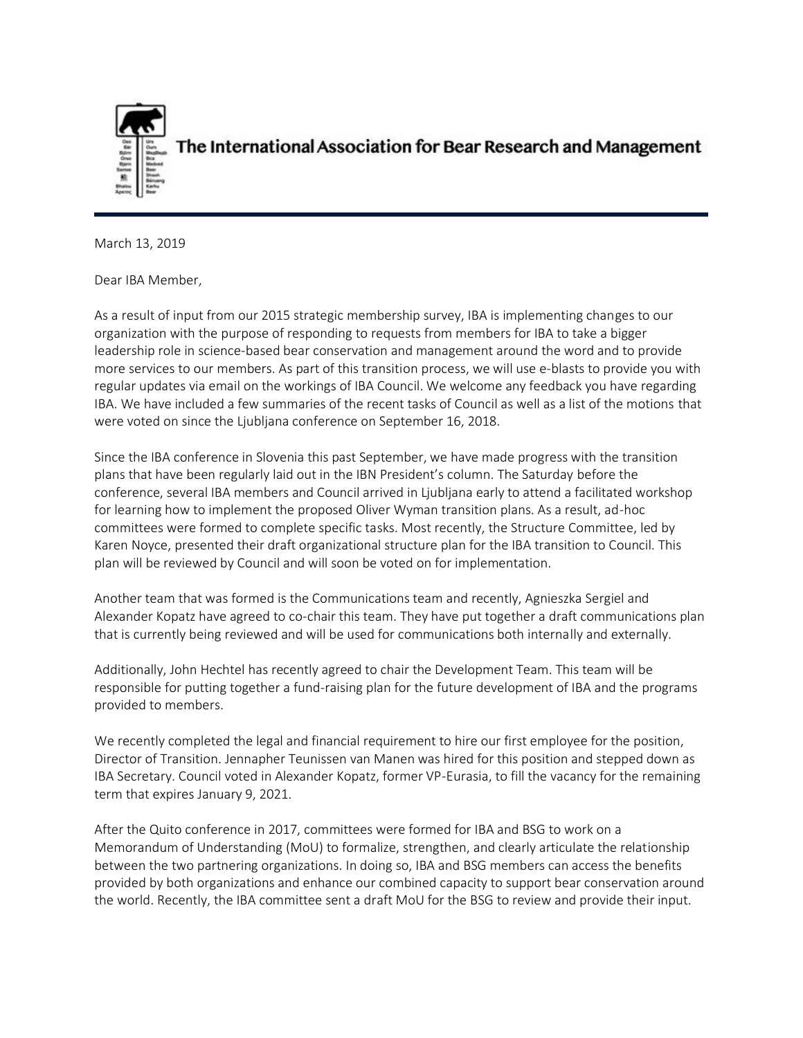

The International Association for Bear Research and Management

March 13, 2019

Dear IBA Member,

As a result of input from our 2015 strategic membership survey, IBA is implementing changes to our organization with the purpose of responding to requests from members for IBA to take a bigger leadership role in science-based bear conservation and management around the word and to provide more services to our members. As part of this transition process, we will use e-blasts to provide you with regular updates via email on the workings of IBA Council. We welcome any feedback you have regarding IBA. We have included a few summaries of the recent tasks of Council as well as a list of the motions that were voted on since the Ljubljana conference on September 16, 2018.

Since the IBA conference in Slovenia this past September, we have made progress with the transition plans that have been regularly laid out in the IBN President's column. The Saturday before the conference, several IBA members and Council arrived in Ljubljana early to attend a facilitated workshop for learning how to implement the proposed Oliver Wyman transition plans. As a result, ad-hoc committees were formed to complete specific tasks. Most recently, the Structure Committee, led by Karen Noyce, presented their draft organizational structure plan for the IBA transition to Council. This plan will be reviewed by Council and will soon be voted on for implementation.

Another team that was formed is the Communications team and recently, Agnieszka Sergiel and Alexander Kopatz have agreed to co-chair this team. They have put together a draft communications plan that is currently being reviewed and will be used for communications both internally and externally.

Additionally, John Hechtel has recently agreed to chair the Development Team. This team will be responsible for putting together a fund-raising plan for the future development of IBA and the programs provided to members.

We recently completed the legal and financial requirement to hire our first employee for the position, Director of Transition. Jennapher Teunissen van Manen was hired for this position and stepped down as IBA Secretary. Council voted in Alexander Kopatz, former VP-Eurasia, to fill the vacancy for the remaining term that expires January 9, 2021.

After the Quito conference in 2017, committees were formed for IBA and BSG to work on a Memorandum of Understanding (MoU) to formalize, strengthen, and clearly articulate the relationship between the two partnering organizations. In doing so, IBA and BSG members can access the benefits provided by both organizations and enhance our combined capacity to support bear conservation around the world. Recently, the IBA committee sent a draft MoU for the BSG to review and provide their input.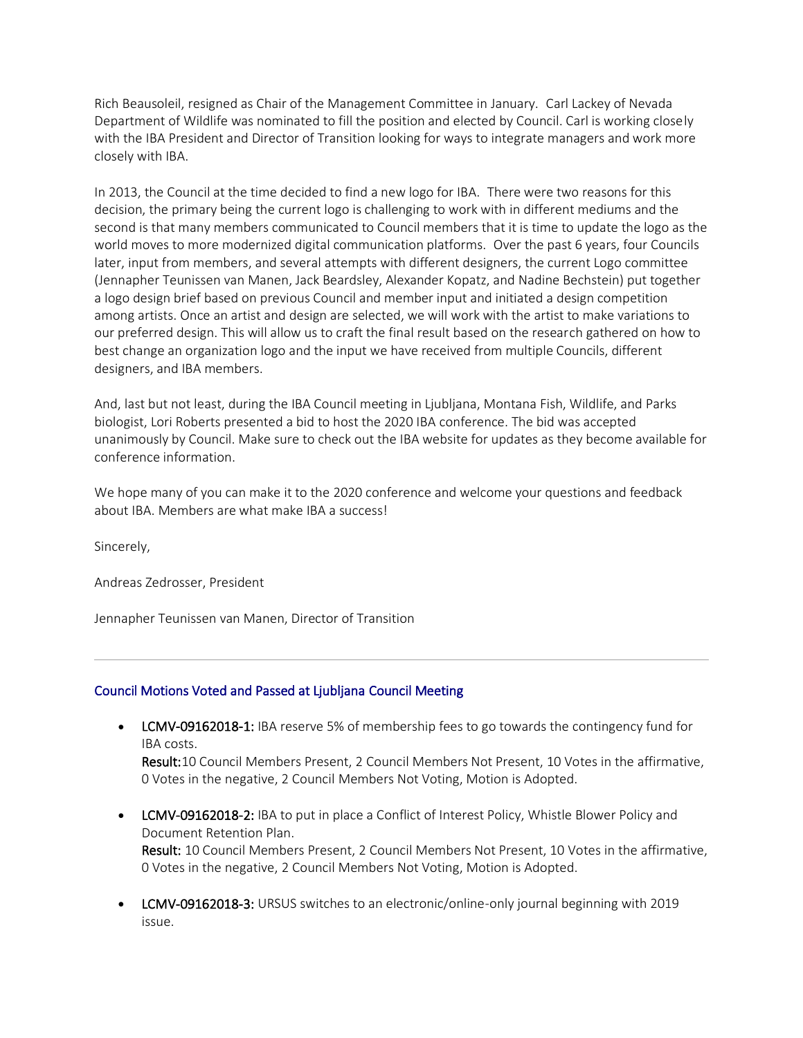Rich Beausoleil, resigned as Chair of the Management Committee in January. Carl Lackey of Nevada Department of Wildlife was nominated to fill the position and elected by Council. Carl is working closely with the IBA President and Director of Transition looking for ways to integrate managers and work more closely with IBA.

In 2013, the Council at the time decided to find a new logo for IBA. There were two reasons for this decision, the primary being the current logo is challenging to work with in different mediums and the second is that many members communicated to Council members that it is time to update the logo as the world moves to more modernized digital communication platforms. Over the past 6 years, four Councils later, input from members, and several attempts with different designers, the current Logo committee (Jennapher Teunissen van Manen, Jack Beardsley, Alexander Kopatz, and Nadine Bechstein) put together a logo design brief based on previous Council and member input and initiated a design competition among artists. Once an artist and design are selected, we will work with the artist to make variations to our preferred design. This will allow us to craft the final result based on the research gathered on how to best change an organization logo and the input we have received from multiple Councils, different designers, and IBA members.

And, last but not least, during the IBA Council meeting in Ljubljana, Montana Fish, Wildlife, and Parks biologist, Lori Roberts presented a bid to host the 2020 IBA conference. The bid was accepted unanimously by Council. Make sure to check out the IBA website for updates as they become available for conference information.

We hope many of you can make it to the 2020 conference and welcome your questions and feedback about IBA. Members are what make IBA a success!

Sincerely,

Andreas Zedrosser, President

Jennapher Teunissen van Manen, Director of Transition

## Council Motions Voted and Passed at Ljubljana Council Meeting

• LCMV-09162018-1: IBA reserve 5% of membership fees to go towards the contingency fund for IBA costs.

Result:10 Council Members Present, 2 Council Members Not Present, 10 Votes in the affirmative, 0 Votes in the negative, 2 Council Members Not Voting, Motion is Adopted.

- LCMV-09162018-2: IBA to put in place a Conflict of Interest Policy, Whistle Blower Policy and Document Retention Plan. Result: 10 Council Members Present, 2 Council Members Not Present, 10 Votes in the affirmative, 0 Votes in the negative, 2 Council Members Not Voting, Motion is Adopted.
- LCMV-09162018-3: URSUS switches to an electronic/online-only journal beginning with 2019 issue.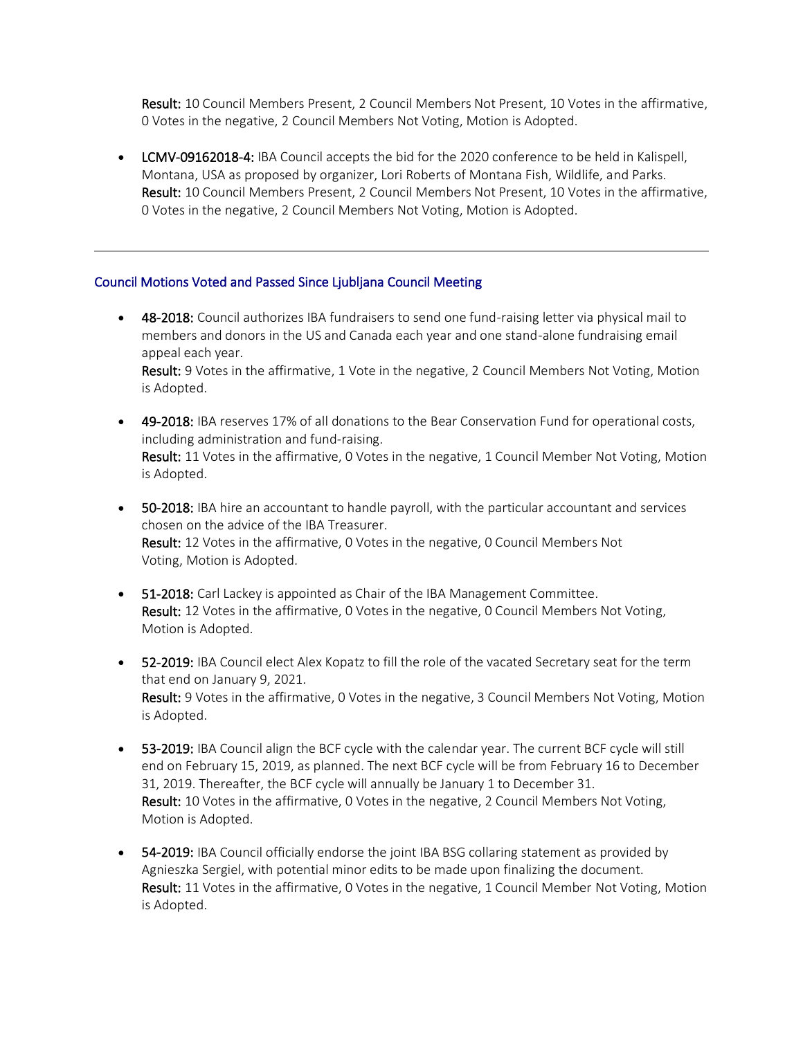Result: 10 Council Members Present, 2 Council Members Not Present, 10 Votes in the affirmative, 0 Votes in the negative, 2 Council Members Not Voting, Motion is Adopted.

• LCMV-09162018-4: IBA Council accepts the bid for the 2020 conference to be held in Kalispell, Montana, USA as proposed by organizer, Lori Roberts of Montana Fish, Wildlife, and Parks. Result: 10 Council Members Present, 2 Council Members Not Present, 10 Votes in the affirmative, 0 Votes in the negative, 2 Council Members Not Voting, Motion is Adopted.

## Council Motions Voted and Passed Since Ljubljana Council Meeting

- 48-2018: Council authorizes IBA fundraisers to send one fund-raising letter via physical mail to members and donors in the US and Canada each year and one stand-alone fundraising email appeal each year. Result: 9 Votes in the affirmative, 1 Vote in the negative, 2 Council Members Not Voting, Motion is Adopted.
- 49-2018: IBA reserves 17% of all donations to the Bear Conservation Fund for operational costs, including administration and fund-raising. Result: 11 Votes in the affirmative, 0 Votes in the negative, 1 Council Member Not Voting, Motion is Adopted.
- 50-2018: IBA hire an accountant to handle payroll, with the particular accountant and services chosen on the advice of the IBA Treasurer. Result: 12 Votes in the affirmative, 0 Votes in the negative, 0 Council Members Not Voting, Motion is Adopted.
- 51-2018: Carl Lackey is appointed as Chair of the IBA Management Committee. Result: 12 Votes in the affirmative, 0 Votes in the negative, 0 Council Members Not Voting, Motion is Adopted.
- 52-2019: IBA Council elect Alex Kopatz to fill the role of the vacated Secretary seat for the term that end on January 9, 2021. Result: 9 Votes in the affirmative, 0 Votes in the negative, 3 Council Members Not Voting, Motion is Adopted.
- 53-2019: IBA Council align the BCF cycle with the calendar year. The current BCF cycle will still end on February 15, 2019, as planned. The next BCF cycle will be from February 16 to December 31, 2019. Thereafter, the BCF cycle will annually be January 1 to December 31. Result: 10 Votes in the affirmative, 0 Votes in the negative, 2 Council Members Not Voting, Motion is Adopted.
- 54-2019: IBA Council officially endorse the joint IBA BSG collaring statement as provided by Agnieszka Sergiel, with potential minor edits to be made upon finalizing the document. Result: 11 Votes in the affirmative, 0 Votes in the negative, 1 Council Member Not Voting, Motion is Adopted.